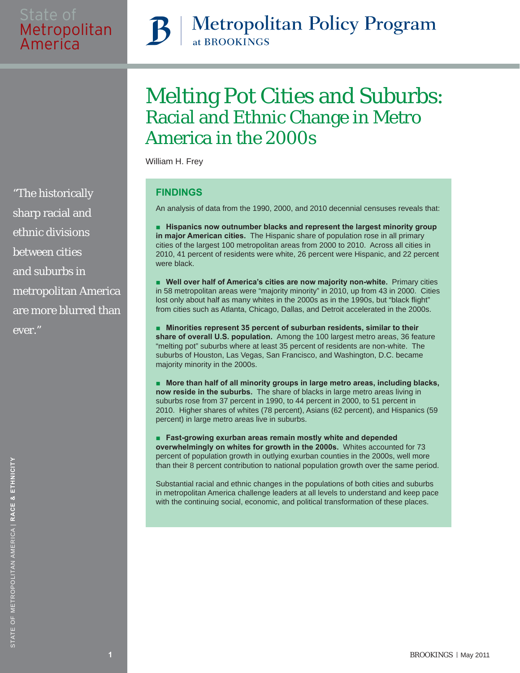# **Metropolitan Policy Program** at BROOKINGS

# Melting Pot Cities and Suburbs: Racial and Ethnic Change in Metro America in the 2000s

William H. Frey

## **FINDINGS**

An analysis of data from the 1990, 2000, and 2010 decennial censuses reveals that:

**■ Hispanics now outnumber blacks and represent the largest minority group in major American cities.** The Hispanic share of population rose in all primary cities of the largest 100 metropolitan areas from 2000 to 2010. Across all cities in 2010, 41 percent of residents were white, 26 percent were Hispanic, and 22 percent were black.

■ **Well over half of America's cities are now majority non-white. Primary cities** in 58 metropolitan areas were "majority minority" in 2010, up from 43 in 2000. Cities lost only about half as many whites in the 2000s as in the 1990s, but "black flight" from cities such as Atlanta, Chicago, Dallas, and Detroit accelerated in the 2000s.

■ Minorities represent 35 percent of suburban residents, similar to their **share of overall U.S. population.** Among the 100 largest metro areas, 36 feature "melting pot" suburbs where at least 35 percent of residents are non-white. The suburbs of Houston, Las Vegas, San Francisco, and Washington, D.C. became majority minority in the 2000s.

■ **More than half of all minority groups in large metro areas, including blacks, now reside in the suburbs.** The share of blacks in large metro areas living in suburbs rose from 37 percent in 1990, to 44 percent in 2000, to 51 percent in 2010. Higher shares of whites (78 percent), Asians (62 percent), and Hispanics (59 percent) in large metro areas live in suburbs.

■ **Fast-growing exurban areas remain mostly white and depended overwhelmingly on whites for growth in the 2000s.** Whites accounted for 73 percent of population growth in outlying exurban counties in the 2000s, well more than their 8 percent contribution to national population growth over the same period.

Substantial racial and ethnic changes in the populations of both cities and suburbs in metropolitan America challenge leaders at all levels to understand and keep pace with the continuing social, economic, and political transformation of these places.

"The historically sharp racial and ethnic divisions between cities and suburbs in metropolitan America are more blurred than ever."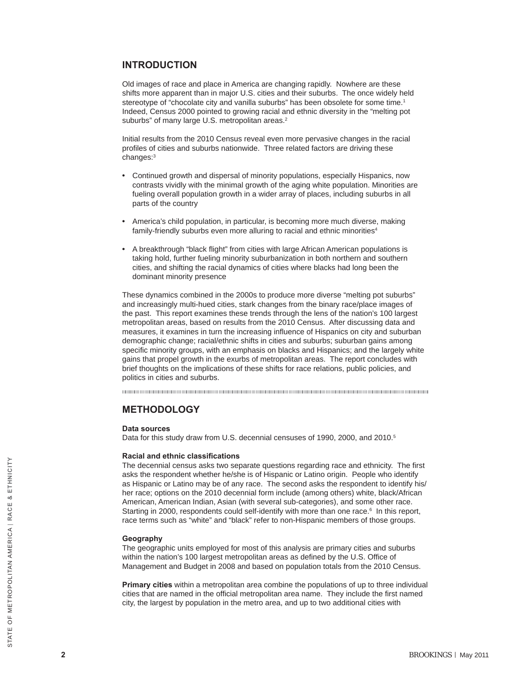#### **INTRODUCTION**

Old images of race and place in America are changing rapidly. Nowhere are these shifts more apparent than in major U.S. cities and their suburbs. The once widely held stereotype of "chocolate city and vanilla suburbs" has been obsolete for some time.<sup>1</sup> Indeed, Census 2000 pointed to growing racial and ethnic diversity in the "melting pot suburbs" of many large U.S. metropolitan areas.<sup>2</sup>

Initial results from the 2010 Census reveal even more pervasive changes in the racial profiles of cities and suburbs nationwide. Three related factors are driving these changes:3

- Continued growth and dispersal of minority populations, especially Hispanics, now contrasts vividly with the minimal growth of the aging white population. Minorities are fueling overall population growth in a wider array of places, including suburbs in all parts of the country
- America's child population, in particular, is becoming more much diverse, making family-friendly suburbs even more alluring to racial and ethnic minorities<sup>4</sup>
- A breakthrough "black flight" from cities with large African American populations is taking hold, further fueling minority suburbanization in both northern and southern cities, and shifting the racial dynamics of cities where blacks had long been the dominant minority presence

These dynamics combined in the 2000s to produce more diverse "melting pot suburbs" and increasingly multi-hued cities, stark changes from the binary race/place images of the past. This report examines these trends through the lens of the nation's 100 largest metropolitan areas, based on results from the 2010 Census. After discussing data and measures, it examines in turn the increasing influence of Hispanics on city and suburban demographic change; racial/ethnic shifts in cities and suburbs; suburban gains among specific minority groups, with an emphasis on blacks and Hispanics; and the largely white gains that propel growth in the exurbs of metropolitan areas. The report concludes with brief thoughts on the implications of these shifts for race relations, public policies, and politics in cities and suburbs.

#### **METHODOLOGY**

#### **Data sources**

Data for this study draw from U.S. decennial censuses of 1990, 2000, and 2010.<sup>5</sup>

#### **Racial and ethnic classifications**

The decennial census asks two separate questions regarding race and ethnicity. The first asks the respondent whether he/she is of Hispanic or Latino origin. People who identify as Hispanic or Latino may be of any race. The second asks the respondent to identify his/ her race; options on the 2010 decennial form include (among others) white, black/African American, American Indian, Asian (with several sub-categories), and some other race. Starting in 2000, respondents could self-identify with more than one race.<sup>6</sup> In this report, race terms such as "white" and "black" refer to non-Hispanic members of those groups.

#### **Geography**

The geographic units employed for most of this analysis are primary cities and suburbs within the nation's 100 largest metropolitan areas as defined by the U.S. Office of Management and Budget in 2008 and based on population totals from the 2010 Census.

**Primary cities** within a metropolitan area combine the populations of up to three individual cities that are named in the official metropolitan area name. They include the first named city, the largest by population in the metro area, and up to two additional cities with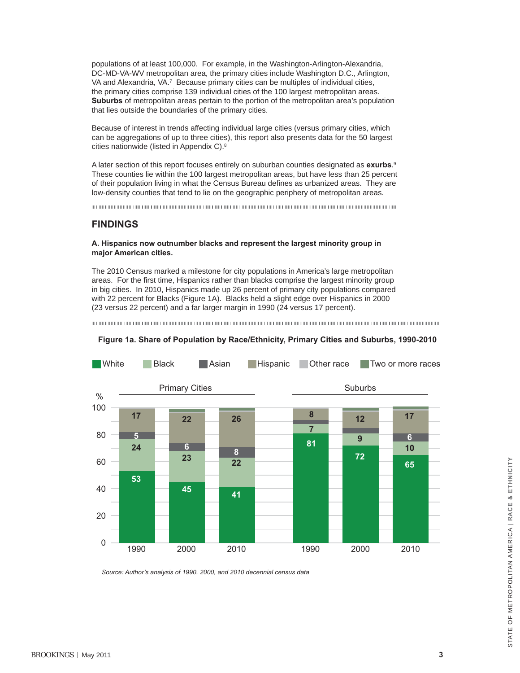populations of at least 100,000. For example, in the Washington-Arlington-Alexandria, DC-MD-VA-WV metropolitan area, the primary cities include Washington D.C., Arlington, VA and Alexandria, VA.<sup>7</sup> Because primary cities can be multiples of individual cities, the primary cities comprise 139 individual cities of the 100 largest metropolitan areas. **Suburbs** of metropolitan areas pertain to the portion of the metropolitan area's population that lies outside the boundaries of the primary cities.

Because of interest in trends affecting individual large cities (versus primary cities, which can be aggregations of up to three cities), this report also presents data for the 50 largest cities nationwide (listed in Appendix C).8

A later section of this report focuses entirely on suburban counties designated as **exurbs**. 9 These counties lie within the 100 largest metropolitan areas, but have less than 25 percent of their population living in what the Census Bureau defines as urbanized areas. They are low-density counties that tend to lie on the geographic periphery of metropolitan areas.

#### **FINDINGS**

#### **A. Hispanics now outnumber blacks and represent the largest minority group in major American cities.**

The 2010 Census marked a milestone for city populations in America's large metropolitan areas. For the first time, Hispanics rather than blacks comprise the largest minority group in big cities. In 2010, Hispanics made up 26 percent of primary city populations compared with 22 percent for Blacks (Figure 1A). Blacks held a slight edge over Hispanics in 2000 (23 versus 22 percent) and a far larger margin in 1990 (24 versus 17 percent).



#### Figure 1a. Share of Population by Race/Ethnicity, Primary Cities and Suburbs, 1990-2010

*Source: Author's analysis of 1990, 2000, and 2010 decennial census data*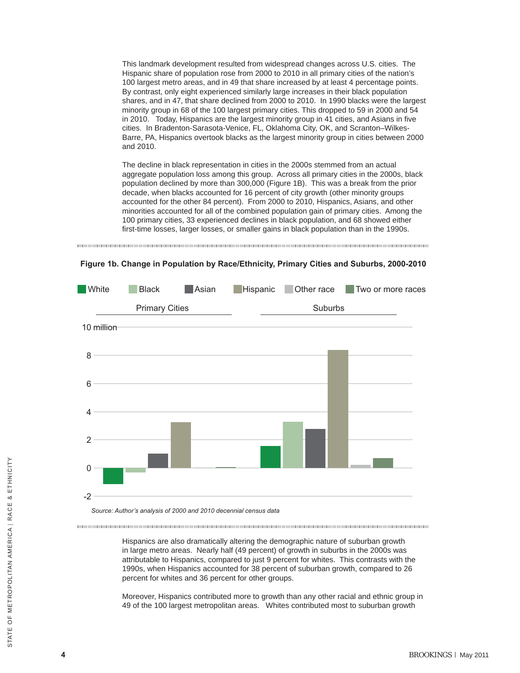This landmark development resulted from widespread changes across U.S. cities. The Hispanic share of population rose from 2000 to 2010 in all primary cities of the nation's 100 largest metro areas, and in 49 that share increased by at least 4 percentage points. By contrast, only eight experienced similarly large increases in their black population shares, and in 47, that share declined from 2000 to 2010. In 1990 blacks were the largest minority group in 68 of the 100 largest primary cities. This dropped to 59 in 2000 and 54 in 2010. Today, Hispanics are the largest minority group in 41 cities, and Asians in five cities. In Bradenton-Sarasota-Venice, FL, Oklahoma City, OK, and Scranton–Wilkes-Barre, PA, Hispanics overtook blacks as the largest minority group in cities between 2000 and 2010.

The decline in black representation in cities in the 2000s stemmed from an actual aggregate population loss among this group. Across all primary cities in the 2000s, black population declined by more than 300,000 (Figure 1B). This was a break from the prior decade, when blacks accounted for 16 percent of city growth (other minority groups accounted for the other 84 percent). From 2000 to 2010, Hispanics, Asians, and other minorities accounted for all of the combined population gain of primary cities. Among the 100 primary cities, 33 experienced declines in black population, and 68 showed either first-time losses, larger losses, or smaller gains in black population than in the 1990s.





**Figure 1b. Change in Population by Race/Ethnicity, Primary Cities and Suburbs, 2000-2010**

*Source: Author's analysis of 2000 and 2010 decennial census data*

Hispanics are also dramatically altering the demographic nature of suburban growth in large metro areas. Nearly half (49 percent) of growth in suburbs in the 2000s was attributable to Hispanics, compared to just 9 percent for whites. This contrasts with the 1990s, when Hispanics accounted for 38 percent of suburban growth, compared to 26 percent for whites and 36 percent for other groups.

Moreover, Hispanics contributed more to growth than any other racial and ethnic group in 49 of the 100 largest metropolitan areas. Whites contributed most to suburban growth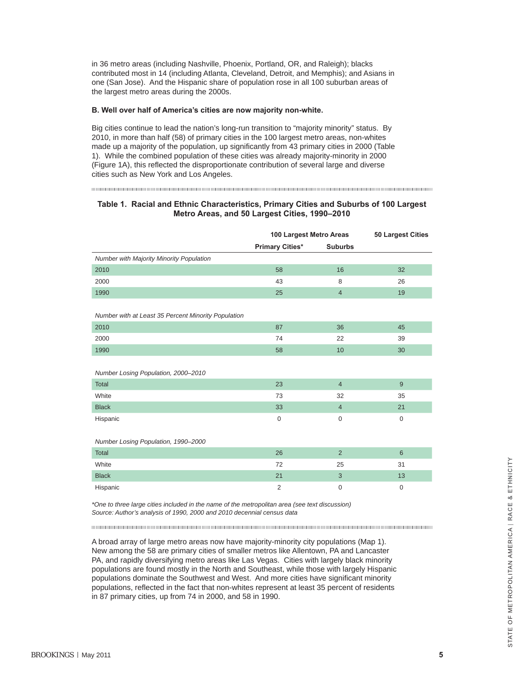in 36 metro areas (including Nashville, Phoenix, Portland, OR, and Raleigh); blacks contributed most in 14 (including Atlanta, Cleveland, Detroit, and Memphis); and Asians in one (San Jose). And the Hispanic share of population rose in all 100 suburban areas of the largest metro areas during the 2000s.

#### **B. Well over half of America's cities are now majority non-white.**

Big cities continue to lead the nation's long-run transition to "majority minority" status. By 2010, in more than half (58) of primary cities in the 100 largest metro areas, non-whites made up a majority of the population, up significantly from 43 primary cities in 2000 (Table 1). While the combined population of these cities was already majority-minority in 2000 (Figure 1A), this reflected the disproportionate contribution of several large and diverse cities such as New York and Los Angeles.

#### **Table 1. Racial and Ethnic Characteristics, Primary Cities and Suburbs of 100 Largest Metro Areas, and 50 Largest Cities, 1990–2010**

|                                                     | 100 Largest Metro Areas | <b>50 Largest Cities</b> |                |  |
|-----------------------------------------------------|-------------------------|--------------------------|----------------|--|
|                                                     | <b>Primary Cities*</b>  | <b>Suburbs</b>           |                |  |
| Number with Majority Minority Population            |                         |                          |                |  |
| 2010                                                | 58                      | 16                       | 32             |  |
| 2000                                                | 43                      | 8                        | 26             |  |
| 1990                                                | 25                      | $\overline{4}$           | 19             |  |
| Number with at Least 35 Percent Minority Population |                         |                          |                |  |
| 2010                                                | 87                      | 36                       | 45             |  |
| 2000                                                | 74                      | 22                       | 39             |  |
| 1990                                                | 58                      | 10 <sup>1</sup>          | 30             |  |
| Number Losing Population, 2000-2010                 |                         |                          |                |  |
| Total                                               | 23                      | $\overline{4}$           | 9              |  |
| White                                               | 73                      | 32                       | 35             |  |
| <b>Black</b>                                        | 33                      | $\overline{4}$           | 21             |  |
| Hispanic                                            | $\overline{0}$          | $\mathbf 0$              | $\overline{0}$ |  |
| Number Losing Population, 1990-2000                 |                         |                          |                |  |
| Total                                               | 26                      | $\overline{2}$           | 6              |  |
| White                                               | 72                      | 25                       | 31             |  |
| <b>Black</b>                                        | 21                      | $\sqrt{3}$               | 13             |  |
| Hispanic                                            | $\overline{2}$          | $\mathbf 0$              | $\mathbf 0$    |  |

*\*One to three large cities included in the name of the metropolitan area (see text discussion) Source: Author's analysis of 1990, 2000 and 2010 decennial census data*

A broad array of large metro areas now have majority-minority city populations (Map 1). New among the 58 are primary cities of smaller metros like Allentown, PA and Lancaster PA, and rapidly diversifying metro areas like Las Vegas. Cities with largely black minority populations are found mostly in the North and Southeast, while those with largely Hispanic populations dominate the Southwest and West. And more cities have significant minority populations, reflected in the fact that non-whites represent at least 35 percent of residents in 87 primary cities, up from 74 in 2000, and 58 in 1990.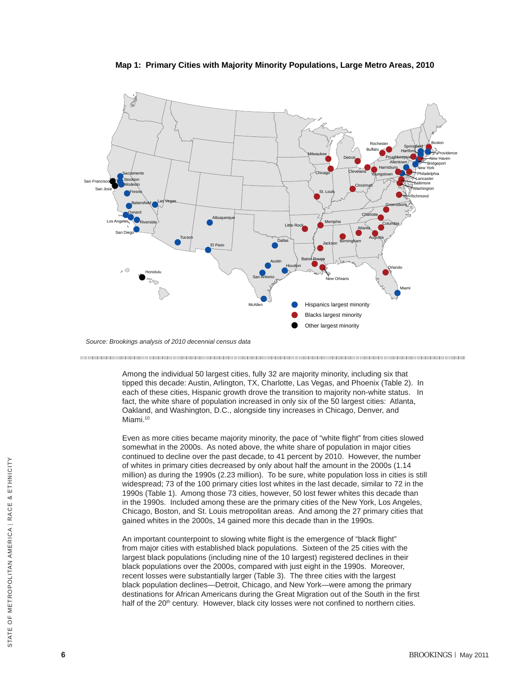



*Source: Brookings analysis of census 2010 Source: Brookings analysis of 2010 decennial census data*

Among the individual 50 largest cities, fully 32 are majority minority, including six that tipped this decade: Austin, Arlington, TX, Charlotte, Las Vegas, and Phoenix (Table 2). In each of these cities, Hispanic growth drove the transition to majority non-white status. In fact, the white share of population increased in only six of the 50 largest cities: Atlanta, Oakland, and Washington, D.C., alongside tiny increases in Chicago, Denver, and Miami.<sup>10</sup>

Even as more cities became majority minority, the pace of "white flight" from cities slowed somewhat in the 2000s. As noted above, the white share of population in major cities continued to decline over the past decade, to 41 percent by 2010. However, the number of whites in primary cities decreased by only about half the amount in the 2000s (1.14 million) as during the 1990s (2.23 million). To be sure, white population loss in cities is still widespread; 73 of the 100 primary cities lost whites in the last decade, similar to 72 in the 1990s (Table 1). Among those 73 cities, however, 50 lost fewer whites this decade than in the 1990s. Included among these are the primary cities of the New York, Los Angeles, Chicago, Boston, and St. Louis metropolitan areas. And among the 27 primary cities that gained whites in the 2000s, 14 gained more this decade than in the 1990s.

An important counterpoint to slowing white flight is the emergence of "black flight" from major cities with established black populations. Sixteen of the 25 cities with the largest black populations (including nine of the 10 largest) registered declines in their black populations over the 2000s, compared with just eight in the 1990s. Moreover, recent losses were substantially larger (Table 3). The three cities with the largest black population declines—Detroit, Chicago, and New York—were among the primary destinations for African Americans during the Great Migration out of the South in the first half of the 20<sup>th</sup> century. However, black city losses were not confined to northern cities.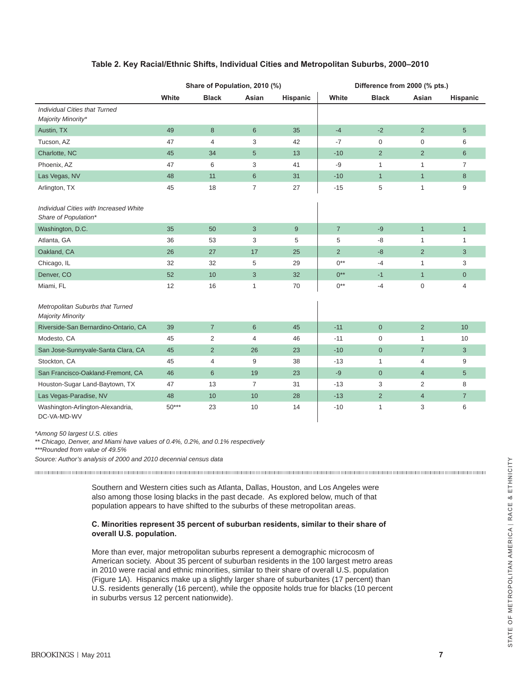| Table 2. Key Racial/Ethnic Shifts, Individual Cities and Metropolitan Suburbs, 2000–2010 |  |  |  |
|------------------------------------------------------------------------------------------|--|--|--|
|------------------------------------------------------------------------------------------|--|--|--|

|                                                                | Share of Population, 2010 (%) |                  |                |          | Difference from 2000 (% pts.) |                |                |                |
|----------------------------------------------------------------|-------------------------------|------------------|----------------|----------|-------------------------------|----------------|----------------|----------------|
|                                                                | White                         | <b>Black</b>     | Asian          | Hispanic | White                         | <b>Black</b>   | Asian          | Hispanic       |
| Individual Cities that Turned<br>Majority Minority*            |                               |                  |                |          |                               |                |                |                |
| Austin, TX                                                     | 49                            | $\boldsymbol{8}$ | $6\phantom{1}$ | 35       | $-4$                          | $-2$           | $\overline{2}$ | 5              |
| Tucson, AZ                                                     | 47                            | 4                | 3              | 42       | $-7$                          | 0              | 0              | 6              |
| Charlotte, NC                                                  | 45                            | 34               | 5              | 13       | $-10$                         | $\overline{2}$ | $\overline{2}$ | 6              |
| Phoenix, AZ                                                    | 47                            | 6                | 3              | 41       | -9                            | 1              | $\mathbf{1}$   | 7              |
| Las Vegas, NV                                                  | 48                            | 11               | $\,6\,$        | 31       | $-10$                         | $\mathbf{1}$   | $\mathbf{1}$   | 8              |
| Arlington, TX                                                  | 45                            | 18               | 7              | 27       | $-15$                         | 5              | $\mathbf{1}$   | 9              |
| Individual Cities with Increased White<br>Share of Population* |                               |                  |                |          |                               |                |                |                |
| Washington, D.C.                                               | 35                            | 50               | 3              | 9        | $\overline{7}$                | $-9$           | $\mathbf{1}$   | $\mathbf{1}$   |
| Atlanta, GA                                                    | 36                            | 53               | 3              | 5        | 5                             | -8             | $\mathbf{1}$   | $\mathbf{1}$   |
| Oakland, CA                                                    | 26                            | 27               | 17             | 25       | $\overline{2}$                | $-8$           | 2              | 3              |
| Chicago, IL                                                    | 32                            | 32               | 5              | 29       | $0**$                         | $-4$           | $\mathbf{1}$   | 3              |
| Denver, CO                                                     | 52                            | 10               | 3              | 32       | $0***$                        | $-1$           | $\mathbf{1}$   | $\overline{0}$ |
| Miami, FL                                                      | 12                            | 16               | $\mathbf{1}$   | 70       | $0***$                        | $-4$           | 0              | 4              |
| Metropolitan Suburbs that Turned<br><b>Majority Minority</b>   |                               |                  |                |          |                               |                |                |                |
| Riverside-San Bernardino-Ontario, CA                           | 39                            | $\overline{7}$   | $6\phantom{1}$ | 45       | $-11$                         | $\mathbf{0}$   | 2              | 10             |
| Modesto, CA                                                    | 45                            | $\overline{2}$   | 4              | 46       | $-11$                         | $\mathbf 0$    | $\mathbf{1}$   | 10             |
| San Jose-Sunnyvale-Santa Clara, CA                             | 45                            | 2                | 26             | 23       | $-10$                         | $\mathbf{0}$   | $\overline{7}$ | 3              |
| Stockton, CA                                                   | 45                            | 4                | 9              | 38       | $-13$                         | $\mathbf{1}$   | 4              | 9              |
| San Francisco-Oakland-Fremont, CA                              | 46                            | $6\phantom{1}$   | 19             | 23       | $-9$                          | $\overline{0}$ | $\overline{4}$ | 5              |
| Houston-Sugar Land-Baytown, TX                                 | 47                            | 13               | 7              | 31       | $-13$                         | 3              | $\overline{2}$ | 8              |
| Las Vegas-Paradise, NV                                         | 48                            | 10               | 10             | 28       | $-13$                         | $\overline{2}$ | $\overline{4}$ | $\overline{7}$ |
| Washington-Arlington-Alexandria,<br>DC-VA-MD-WV                | $50***$                       | 23               | 10             | 14       | $-10$                         | $\mathbf{1}$   | 3              | 6              |

*\*Among 50 largest U.S. cities*

*\*\* Chicago, Denver, and Miami have values of 0.4%, 0.2%, and 0.1% respectively*

*\*\*\*Rounded from value of 49.5%*

*Source: Author's analysis of 2000 and 2010 decennial census data*

Southern and Western cities such as Atlanta, Dallas, Houston, and Los Angeles were also among those losing blacks in the past decade. As explored below, much of that population appears to have shifted to the suburbs of these metropolitan areas.

#### **C. Minorities represent 35 percent of suburban residents, similar to their share of overall U.S. population.**

More than ever, major metropolitan suburbs represent a demographic microcosm of American society. About 35 percent of suburban residents in the 100 largest metro areas in 2010 were racial and ethnic minorities, similar to their share of overall U.S. population (Figure 1A). Hispanics make up a slightly larger share of suburbanites (17 percent) than U.S. residents generally (16 percent), while the opposite holds true for blacks (10 percent in suburbs versus 12 percent nationwide).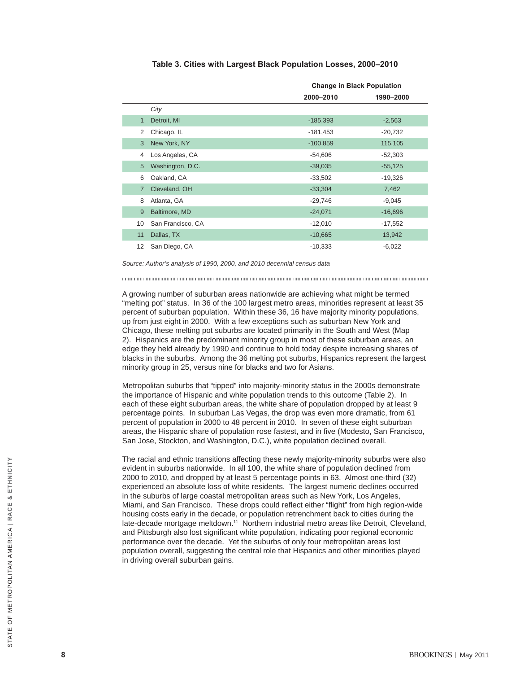#### **Table 3. Cities with Largest Black Population Losses, 2000–2010**

|                |                   | <b>Change in Black Population</b> |           |  |
|----------------|-------------------|-----------------------------------|-----------|--|
|                |                   | 2000-2010                         | 1990-2000 |  |
|                | City              |                                   |           |  |
| $\mathbf{1}$   | Detroit, MI       | $-185,393$                        | $-2,563$  |  |
| 2              | Chicago, IL       | $-181,453$                        | $-20,732$ |  |
| 3              | New York, NY      | $-100,859$                        | 115,105   |  |
| 4              | Los Angeles, CA   | $-54,606$                         | $-52,303$ |  |
| 5              | Washington, D.C.  | $-39,035$                         | $-55,125$ |  |
| 6              | Oakland, CA       | $-33,502$                         | $-19,326$ |  |
| $\overline{7}$ | Cleveland, OH     | $-33,304$                         | 7,462     |  |
| 8              | Atlanta, GA       | $-29,746$                         | $-9,045$  |  |
| 9              | Baltimore, MD     | $-24,071$                         | $-16,696$ |  |
| 10             | San Francisco, CA | $-12,010$                         | $-17,552$ |  |
| 11             | Dallas, TX        | $-10,665$                         | 13,942    |  |
| 12             | San Diego, CA     | $-10,333$                         | $-6,022$  |  |

*Source: Author's analysis of 1990, 2000, and 2010 decennial census data* 

A growing number of suburban areas nationwide are achieving what might be termed "melting pot" status. In 36 of the 100 largest metro areas, minorities represent at least 35 percent of suburban population. Within these 36, 16 have majority minority populations, up from just eight in 2000. With a few exceptions such as suburban New York and Chicago, these melting pot suburbs are located primarily in the South and West (Map 2). Hispanics are the predominant minority group in most of these suburban areas, an edge they held already by 1990 and continue to hold today despite increasing shares of blacks in the suburbs. Among the 36 melting pot suburbs, Hispanics represent the largest minority group in 25, versus nine for blacks and two for Asians.

Metropolitan suburbs that "tipped" into majority-minority status in the 2000s demonstrate the importance of Hispanic and white population trends to this outcome (Table 2). In each of these eight suburban areas, the white share of population dropped by at least 9 percentage points. In suburban Las Vegas, the drop was even more dramatic, from 61 percent of population in 2000 to 48 percent in 2010. In seven of these eight suburban areas, the Hispanic share of population rose fastest, and in five (Modesto, San Francisco, San Jose, Stockton, and Washington, D.C.), white population declined overall.

The racial and ethnic transitions affecting these newly majority-minority suburbs were also evident in suburbs nationwide. In all 100, the white share of population declined from 2000 to 2010, and dropped by at least 5 percentage points in 63. Almost one-third (32) experienced an absolute loss of white residents. The largest numeric declines occurred in the suburbs of large coastal metropolitan areas such as New York, Los Angeles, Miami, and San Francisco. These drops could reflect either "flight" from high region-wide housing costs early in the decade, or population retrenchment back to cities during the late-decade mortgage meltdown.<sup>11</sup> Northern industrial metro areas like Detroit, Cleveland, and Pittsburgh also lost significant white population, indicating poor regional economic performance over the decade. Yet the suburbs of only four metropolitan areas lost population overall, suggesting the central role that Hispanics and other minorities played in driving overall suburban gains.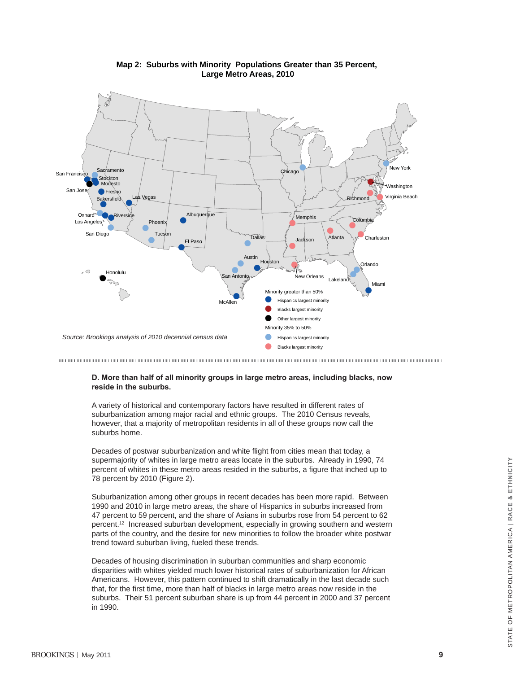

#### **Map 2: Suburbs with Minority Populations Greater than 35 Percent, Large Metro Areas, 2010**

#### **D. More than half of all minority groups in large metro areas, including blacks, now reside in the suburbs.**

A variety of historical and contemporary factors have resulted in different rates of suburbanization among major racial and ethnic groups. The 2010 Census reveals, however, that a majority of metropolitan residents in all of these groups now call the suburbs home.

Decades of postwar suburbanization and white flight from cities mean that today, a supermajority of whites in large metro areas locate in the suburbs. Already in 1990, 74 percent of whites in these metro areas resided in the suburbs, a figure that inched up to 78 percent by 2010 (Figure 2).

Suburbanization among other groups in recent decades has been more rapid. Between 1990 and 2010 in large metro areas, the share of Hispanics in suburbs increased from 47 percent to 59 percent, and the share of Asians in suburbs rose from 54 percent to 62 percent.12 Increased suburban development, especially in growing southern and western parts of the country, and the desire for new minorities to follow the broader white postwar trend toward suburban living, fueled these trends.

Decades of housing discrimination in suburban communities and sharp economic disparities with whites yielded much lower historical rates of suburbanization for African Americans. However, this pattern continued to shift dramatically in the last decade such that, for the first time, more than half of blacks in large metro areas now reside in the suburbs. Their 51 percent suburban share is up from 44 percent in 2000 and 37 percent in 1990.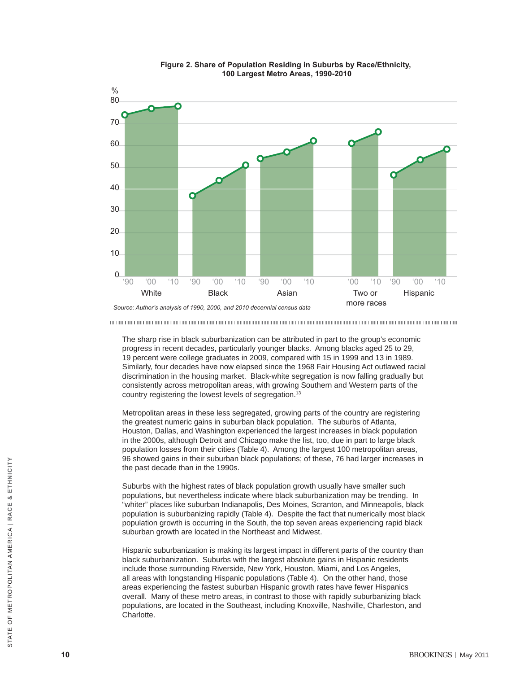

#### **Figure 2. Share of Population Residing in Suburbs by Race/Ethnicity, 100 Largest Metro Areas, 1990-2010**

The sharp rise in black suburbanization can be attributed in part to the group's economic progress in recent decades, particularly younger blacks. Among blacks aged 25 to 29, 19 percent were college graduates in 2009, compared with 15 in 1999 and 13 in 1989. Similarly, four decades have now elapsed since the 1968 Fair Housing Act outlawed racial discrimination in the housing market. Black-white segregation is now falling gradually but consistently across metropolitan areas, with growing Southern and Western parts of the country registering the lowest levels of segregation.<sup>13</sup>

Metropolitan areas in these less segregated, growing parts of the country are registering the greatest numeric gains in suburban black population. The suburbs of Atlanta, Houston, Dallas, and Washington experienced the largest increases in black population in the 2000s, although Detroit and Chicago make the list, too, due in part to large black population losses from their cities (Table 4). Among the largest 100 metropolitan areas, 96 showed gains in their suburban black populations; of these, 76 had larger increases in the past decade than in the 1990s.

Suburbs with the highest rates of black population growth usually have smaller such populations, but nevertheless indicate where black suburbanization may be trending. In "whiter" places like suburban Indianapolis, Des Moines, Scranton, and Minneapolis, black population is suburbanizing rapidly (Table 4). Despite the fact that numerically most black population growth is occurring in the South, the top seven areas experiencing rapid black suburban growth are located in the Northeast and Midwest.

Hispanic suburbanization is making its largest impact in different parts of the country than black suburbanization. Suburbs with the largest absolute gains in Hispanic residents include those surrounding Riverside, New York, Houston, Miami, and Los Angeles, all areas with longstanding Hispanic populations (Table 4). On the other hand, those areas experiencing the fastest suburban Hispanic growth rates have fewer Hispanics overall. Many of these metro areas, in contrast to those with rapidly suburbanizing black populations, are located in the Southeast, including Knoxville, Nashville, Charleston, and Charlotte.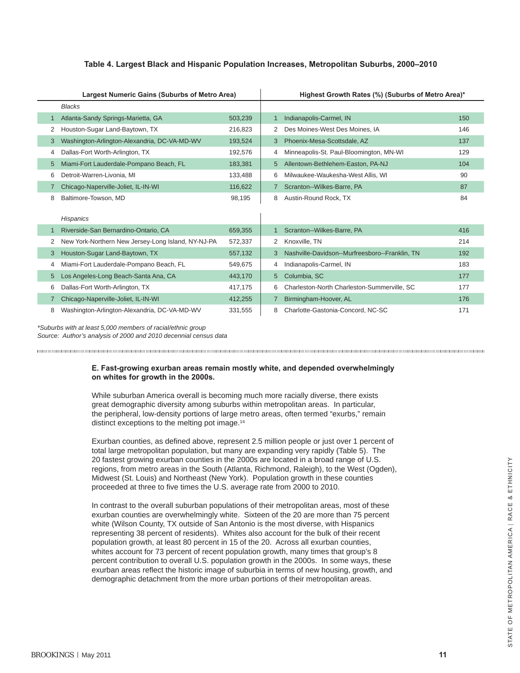#### **Table 4. Largest Black and Hispanic Population Increases, Metropolitan Suburbs, 2000–2010**

| Largest Numeric Gains (Suburbs of Metro Area) |    |                                                    |         |   | Highest Growth Rates (%) (Suburbs of Metro Area)* |     |  |  |  |
|-----------------------------------------------|----|----------------------------------------------------|---------|---|---------------------------------------------------|-----|--|--|--|
|                                               |    | <b>Blacks</b>                                      |         |   |                                                   |     |  |  |  |
|                                               |    | Atlanta-Sandy Springs-Marietta, GA                 | 503,239 |   | Indianapolis-Carmel, IN                           | 150 |  |  |  |
|                                               | 2  | Houston-Sugar Land-Baytown, TX                     | 216,823 | 2 | Des Moines-West Des Moines. IA                    | 146 |  |  |  |
|                                               | 3. | Washington-Arlington-Alexandria, DC-VA-MD-WV       | 193,524 | 3 | Phoenix-Mesa-Scottsdale, AZ                       | 137 |  |  |  |
|                                               | 4  | Dallas-Fort Worth-Arlington, TX                    | 192,576 | 4 | Minneapolis-St. Paul-Bloomington, MN-WI           | 129 |  |  |  |
|                                               | 5. | Miami-Fort Lauderdale-Pompano Beach, FL            | 183,381 | 5 | Allentown-Bethlehem-Easton, PA-NJ                 | 104 |  |  |  |
|                                               | 6  | Detroit-Warren-Livonia, MI                         | 133,488 | 6 | Milwaukee-Waukesha-West Allis, WI                 | 90  |  |  |  |
|                                               |    | Chicago-Naperville-Joliet, IL-IN-WI                | 116,622 | 7 | Scranton--Wilkes-Barre, PA                        | 87  |  |  |  |
|                                               | 8  | Baltimore-Towson, MD                               | 98,195  | 8 | Austin-Round Rock, TX                             | 84  |  |  |  |
|                                               |    | Hispanics                                          |         |   |                                                   |     |  |  |  |
|                                               |    | Riverside-San Bernardino-Ontario, CA               | 659,355 |   | Scranton--Wilkes-Barre, PA                        | 416 |  |  |  |
|                                               | 2  | New York-Northern New Jersey-Long Island, NY-NJ-PA | 572,337 | 2 | Knoxville, TN                                     | 214 |  |  |  |
|                                               | 3  | Houston-Sugar Land-Baytown, TX                     | 557,132 | 3 | Nashville-Davidson--Murfreesboro--Franklin, TN    | 192 |  |  |  |
|                                               | 4  | Miami-Fort Lauderdale-Pompano Beach, FL            | 549,675 | 4 | Indianapolis-Carmel, IN                           | 183 |  |  |  |
|                                               | 5. | Los Angeles-Long Beach-Santa Ana, CA               | 443,170 | 5 | Columbia, SC                                      | 177 |  |  |  |
|                                               | 6  | Dallas-Fort Worth-Arlington, TX                    | 417,175 | 6 | Charleston-North Charleston-Summerville, SC       | 177 |  |  |  |
|                                               |    | Chicago-Naperville-Joliet, IL-IN-WI                | 412,255 | 7 | Birmingham-Hoover, AL                             | 176 |  |  |  |
|                                               | 8  | Washington-Arlington-Alexandria, DC-VA-MD-WV       | 331,555 | 8 | Charlotte-Gastonia-Concord, NC-SC                 | 171 |  |  |  |

*\*Suburbs with at least 5,000 members of racial/ethnic group Source: Author's analysis of 2000 and 2010 decennial census data*

#### **E. Fast-growing exurban areas remain mostly white, and depended overwhelmingly on whites for growth in the 2000s.**

While suburban America overall is becoming much more racially diverse, there exists great demographic diversity among suburbs within metropolitan areas. In particular, the peripheral, low-density portions of large metro areas, often termed "exurbs," remain distinct exceptions to the melting pot image.<sup>14</sup>

Exurban counties, as defined above, represent 2.5 million people or just over 1 percent of total large metropolitan population, but many are expanding very rapidly (Table 5). The 20 fastest growing exurban counties in the 2000s are located in a broad range of U.S. regions, from metro areas in the South (Atlanta, Richmond, Raleigh), to the West (Ogden), Midwest (St. Louis) and Northeast (New York). Population growth in these counties proceeded at three to five times the U.S. average rate from 2000 to 2010.

In contrast to the overall suburban populations of their metropolitan areas, most of these exurban counties are overwhelmingly white. Sixteen of the 20 are more than 75 percent white (Wilson County, TX outside of San Antonio is the most diverse, with Hispanics representing 38 percent of residents). Whites also account for the bulk of their recent population growth, at least 80 percent in 15 of the 20. Across all exurban counties, whites account for 73 percent of recent population growth, many times that group's 8 percent contribution to overall U.S. population growth in the 2000s. In some ways, these exurban areas reflect the historic image of suburbia in terms of new housing, growth, and demographic detachment from the more urban portions of their metropolitan areas.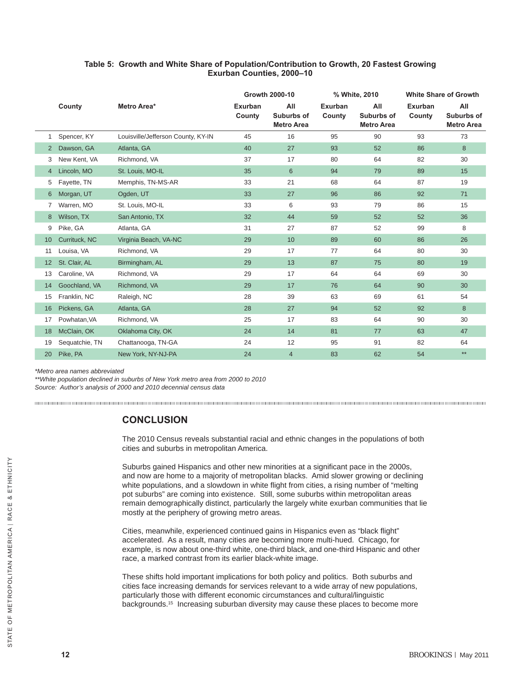#### **Table 5: Growth and White Share of Population/Contribution to Growth, 20 Fastest Growing Exurban Counties, 2000–10**

|                |                |                                    | <b>Growth 2000-10</b> |                                        | % White, 2010     |                                        | <b>White Share of Growth</b> |                                        |
|----------------|----------------|------------------------------------|-----------------------|----------------------------------------|-------------------|----------------------------------------|------------------------------|----------------------------------------|
|                | County         | Metro Area*                        | Exurban<br>County     | All<br>Suburbs of<br><b>Metro Area</b> | Exurban<br>County | All<br>Suburbs of<br><b>Metro Area</b> | Exurban<br>County            | All<br>Suburbs of<br><b>Metro Area</b> |
| 1              | Spencer, KY    | Louisville/Jefferson County, KY-IN | 45                    | 16                                     | 95                | 90                                     | 93                           | 73                                     |
| $\overline{2}$ | Dawson, GA     | Atlanta, GA                        | 40                    | 27                                     | 93                | 52                                     | 86                           | 8                                      |
| 3              | New Kent, VA   | Richmond, VA                       | 37                    | 17                                     | 80                | 64                                     | 82                           | 30                                     |
| 4              | Lincoln, MO    | St. Louis, MO-IL                   | 35                    | 6                                      | 94                | 79                                     | 89                           | 15                                     |
| 5              | Fayette, TN    | Memphis, TN-MS-AR                  | 33                    | 21                                     | 68                | 64                                     | 87                           | 19                                     |
| 6              | Morgan, UT     | Ogden, UT                          | 33                    | 27                                     | 96                | 86                                     | 92                           | 71                                     |
| 7              | Warren, MO     | St. Louis, MO-IL                   | 33                    | 6                                      | 93                | 79                                     | 86                           | 15                                     |
| 8              | Wilson, TX     | San Antonio, TX                    | 32                    | 44                                     | 59                | 52                                     | 52                           | 36                                     |
| 9              | Pike, GA       | Atlanta, GA                        | 31                    | 27                                     | 87                | 52                                     | 99                           | 8                                      |
| 10             | Currituck, NC  | Virginia Beach, VA-NC              | 29                    | 10                                     | 89                | 60                                     | 86                           | 26                                     |
| 11             | Louisa, VA     | Richmond, VA                       | 29                    | 17                                     | 77                | 64                                     | 80                           | 30                                     |
| 12             | St. Clair, AL  | Birmingham, AL                     | 29                    | 13                                     | 87                | 75                                     | 80                           | 19                                     |
| 13             | Caroline, VA   | Richmond, VA                       | 29                    | 17                                     | 64                | 64                                     | 69                           | 30                                     |
| 14             | Goochland, VA  | Richmond, VA                       | 29                    | 17                                     | 76                | 64                                     | 90                           | 30                                     |
| 15             | Franklin, NC   | Raleigh, NC                        | 28                    | 39                                     | 63                | 69                                     | 61                           | 54                                     |
| 16             | Pickens, GA    | Atlanta, GA                        | 28                    | 27                                     | 94                | 52                                     | 92                           | 8                                      |
| 17             | Powhatan, VA   | Richmond, VA                       | 25                    | 17                                     | 83                | 64                                     | 90                           | 30                                     |
| 18             | McClain, OK    | Oklahoma City, OK                  | 24                    | 14                                     | 81                | 77                                     | 63                           | 47                                     |
| 19             | Sequatchie, TN | Chattanooga, TN-GA                 | 24                    | 12                                     | 95                | 91                                     | 82                           | 64                                     |
| 20             | Pike, PA       | New York, NY-NJ-PA                 | 24                    | $\overline{4}$                         | 83                | 62                                     | 54                           | $**$                                   |

*\*Metro area names abbreviated*

*\*\*White population declined in suburbs of New York metro area from 2000 to 2010 Source: Author's analysis of 2000 and 2010 decennial census data*

### **CONCLUSION**

The 2010 Census reveals substantial racial and ethnic changes in the populations of both cities and suburbs in metropolitan America.

Suburbs gained Hispanics and other new minorities at a significant pace in the 2000s, and now are home to a majority of metropolitan blacks. Amid slower growing or declining white populations, and a slowdown in white flight from cities, a rising number of "melting pot suburbs" are coming into existence. Still, some suburbs within metropolitan areas remain demographically distinct, particularly the largely white exurban communities that lie mostly at the periphery of growing metro areas.

Cities, meanwhile, experienced continued gains in Hispanics even as "black flight" accelerated. As a result, many cities are becoming more multi-hued. Chicago, for example, is now about one-third white, one-third black, and one-third Hispanic and other race, a marked contrast from its earlier black-white image.

These shifts hold important implications for both policy and politics. Both suburbs and cities face increasing demands for services relevant to a wide array of new populations, particularly those with different economic circumstances and cultural/linguistic backgrounds.15 Increasing suburban diversity may cause these places to become more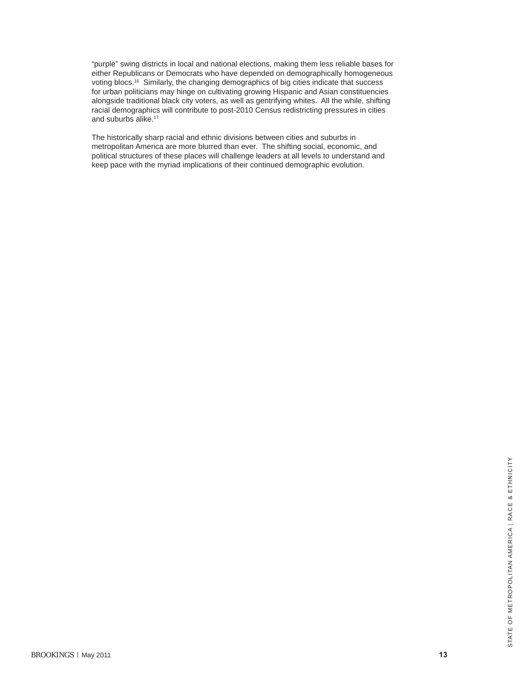"purple" swing districts in local and national elections, making them less reliable bases for either Republicans or Democrats who have depended on demographically homogeneous voting blocs.16 Similarly, the changing demographics of big cities indicate that success for urban politicians may hinge on cultivating growing Hispanic and Asian constituencies alongside traditional black city voters, as well as gentrifying whites. All the while, shifting racial demographics will contribute to post-2010 Census redistricting pressures in cities and suburbs alike.<sup>17</sup>

The historically sharp racial and ethnic divisions between cities and suburbs in metropolitan America are more blurred than ever. The shifting social, economic, and political structures of these places will challenge leaders at all levels to understand and keep pace with the myriad implications of their continued demographic evolution.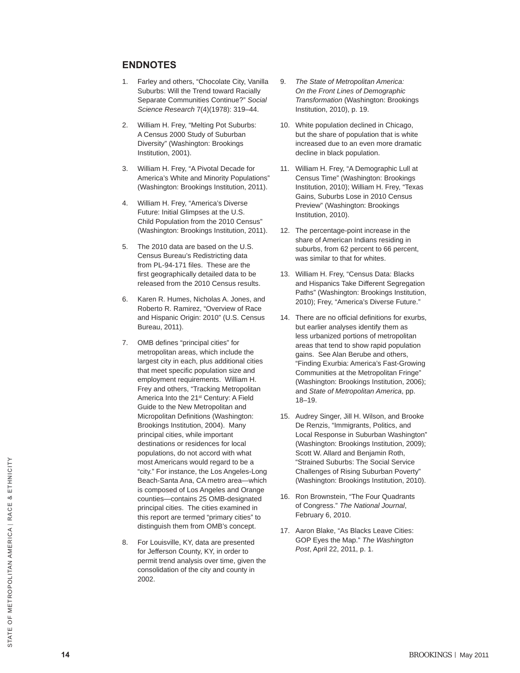#### **ENDNOTES**

- 1. Farley and others, "Chocolate City, Vanilla Suburbs: Will the Trend toward Racially Separate Communities Continue?" *Social Science Research* 7(4)(1978): 319–44.
- 2. William H. Frey, "Melting Pot Suburbs: A Census 2000 Study of Suburban Diversity" (Washington: Brookings Institution, 2001).
- 3. William H. Frey, "A Pivotal Decade for America's White and Minority Populations" (Washington: Brookings Institution, 2011).
- 4. William H. Frey, "America's Diverse Future: Initial Glimpses at the U.S. Child Population from the 2010 Census" (Washington: Brookings Institution, 2011).
- 5. The 2010 data are based on the U.S. Census Bureau's Redistricting data from PL-94-171 files. These are the first geographically detailed data to be released from the 2010 Census results.
- 6. Karen R. Humes, Nicholas A. Jones, and Roberto R. Ramirez, "Overview of Race and Hispanic Origin: 2010" (U.S. Census Bureau, 2011).
- 7. OMB defines "principal cities" for metropolitan areas, which include the largest city in each, plus additional cities that meet specific population size and employment requirements. William H. Frey and others, "Tracking Metropolitan America Into the 21<sup>st</sup> Century: A Field Guide to the New Metropolitan and Micropolitan Definitions (Washington: Brookings Institution, 2004). Many principal cities, while important destinations or residences for local populations, do not accord with what most Americans would regard to be a "city." For instance, the Los Angeles-Long Beach-Santa Ana, CA metro area—which is composed of Los Angeles and Orange counties—contains 25 OMB-designated principal cities. The cities examined in this report are termed "primary cities" to distinguish them from OMB's concept.
- 8. For Louisville, KY, data are presented for Jefferson County, KY, in order to permit trend analysis over time, given the consolidation of the city and county in 2002.
- 9. *The State of Metropolitan America: On the Front Lines of Demographic Transformation* (Washington: Brookings Institution, 2010), p. 19.
- 10. White population declined in Chicago, but the share of population that is white increased due to an even more dramatic decline in black population.
- 11. William H. Frey, "A Demographic Lull at Census Time" (Washington: Brookings Institution, 2010); William H. Frey, "Texas Gains, Suburbs Lose in 2010 Census Preview" (Washington: Brookings Institution, 2010).
- 12. The percentage-point increase in the share of American Indians residing in suburbs, from 62 percent to 66 percent, was similar to that for whites.
- 13. William H. Frey, "Census Data: Blacks and Hispanics Take Different Segregation Paths" (Washington: Brookings Institution, 2010); Frey, "America's Diverse Future."
- 14. There are no official definitions for exurbs, but earlier analyses identify them as less urbanized portions of metropolitan areas that tend to show rapid population gains. See Alan Berube and others, "Finding Exurbia: America's Fast-Growing Communities at the Metropolitan Fringe" (Washington: Brookings Institution, 2006); and *State of Metropolitan America*, pp. 18–19.
- 15. Audrey Singer, Jill H. Wilson, and Brooke De Renzis, "Immigrants, Politics, and Local Response in Suburban Washington" (Washington: Brookings Institution, 2009); Scott W. Allard and Benjamin Roth, "Strained Suburbs: The Social Service Challenges of Rising Suburban Poverty" (Washington: Brookings Institution, 2010).
- 16. Ron Brownstein, "The Four Quadrants of Congress." *The National Journal*, February 6, 2010.
- 17. Aaron Blake, "As Blacks Leave Cities: GOP Eyes the Map." *The Washington Post*, April 22, 2011, p. 1.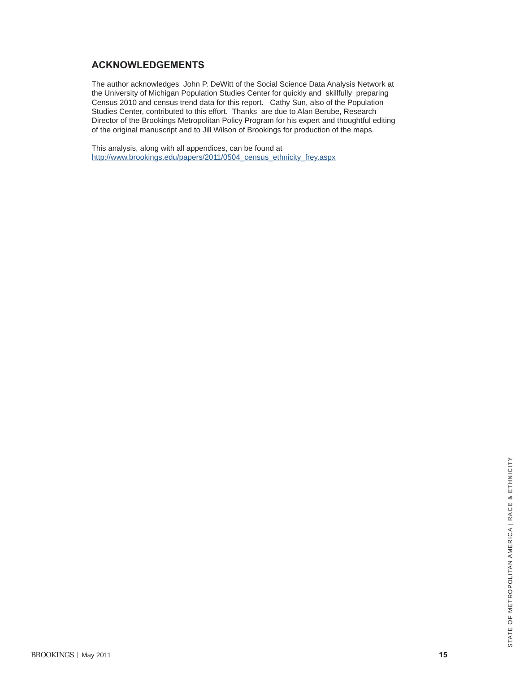#### **ACKNOWLEDGEMENTS**

The author acknowledges John P. DeWitt of the Social Science Data Analysis Network at the University of Michigan Population Studies Center for quickly and skillfully preparing Census 2010 and census trend data for this report. Cathy Sun, also of the Population Studies Center, contributed to this effort. Thanks are due to Alan Berube, Research Director of the Brookings Metropolitan Policy Program for his expert and thoughtful editing of the original manuscript and to Jill Wilson of Brookings for production of the maps.

This analysis, along with all appendices, can be found at http://www.brookings.edu/papers/2011/0504\_census\_ethnicity\_frey.aspx